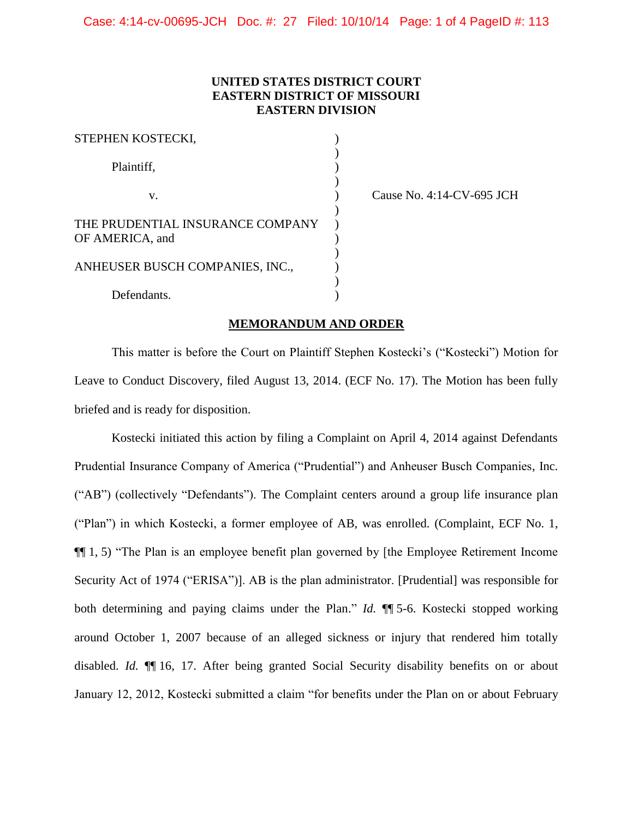## **UNITED STATES DISTRICT COURT EASTERN DISTRICT OF MISSOURI EASTERN DIVISION**

| STEPHEN KOSTECKI,                |  |
|----------------------------------|--|
|                                  |  |
| Plaintiff,                       |  |
|                                  |  |
| V.                               |  |
| THE PRUDENTIAL INSURANCE COMPANY |  |
| OF AMERICA, and                  |  |
| ANHEUSER BUSCH COMPANIES, INC.,  |  |
|                                  |  |
| Defendants.                      |  |

Cause No. 4:14-CV-695 JCH

## **MEMORANDUM AND ORDER**

This matter is before the Court on Plaintiff Stephen Kostecki's ("Kostecki") Motion for Leave to Conduct Discovery, filed August 13, 2014. (ECF No. 17). The Motion has been fully briefed and is ready for disposition.

Kostecki initiated this action by filing a Complaint on April 4, 2014 against Defendants Prudential Insurance Company of America ("Prudential") and Anheuser Busch Companies, Inc. ("AB") (collectively "Defendants"). The Complaint centers around a group life insurance plan ("Plan") in which Kostecki, a former employee of AB, was enrolled. (Complaint, ECF No. 1, ¶¶ 1, 5) "The Plan is an employee benefit plan governed by [the Employee Retirement Income Security Act of 1974 ("ERISA")]. AB is the plan administrator. [Prudential] was responsible for both determining and paying claims under the Plan." *Id.* ¶¶ 5-6. Kostecki stopped working around October 1, 2007 because of an alleged sickness or injury that rendered him totally disabled. *Id.* ¶¶ 16, 17. After being granted Social Security disability benefits on or about January 12, 2012, Kostecki submitted a claim "for benefits under the Plan on or about February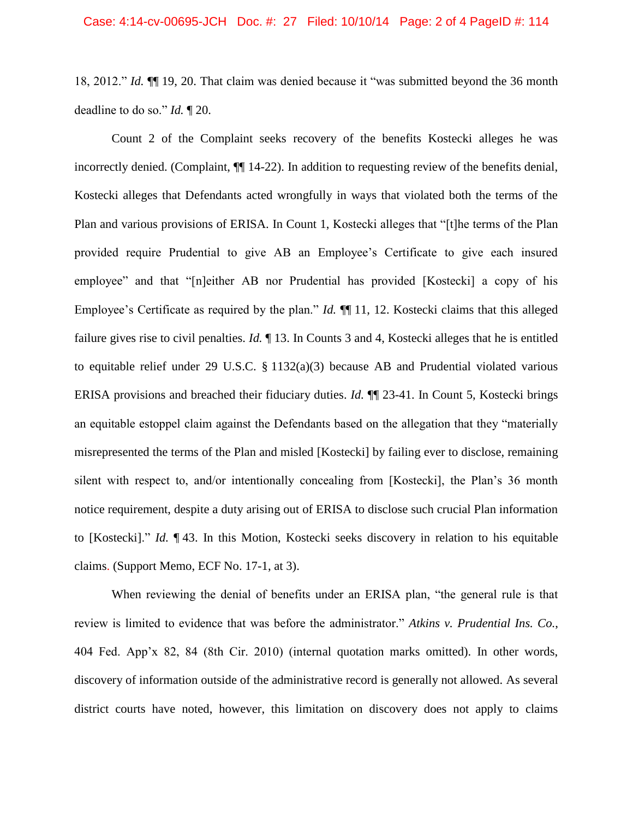18, 2012." *Id.* ¶¶ 19, 20. That claim was denied because it "was submitted beyond the 36 month deadline to do so." *Id.* ¶ 20.

Count 2 of the Complaint seeks recovery of the benefits Kostecki alleges he was incorrectly denied. (Complaint, ¶¶ 14-22). In addition to requesting review of the benefits denial, Kostecki alleges that Defendants acted wrongfully in ways that violated both the terms of the Plan and various provisions of ERISA. In Count 1, Kostecki alleges that "[t]he terms of the Plan provided require Prudential to give AB an Employee's Certificate to give each insured employee" and that "[n]either AB nor Prudential has provided [Kostecki] a copy of his Employee's Certificate as required by the plan." *Id.* ¶¶ 11, 12. Kostecki claims that this alleged failure gives rise to civil penalties. *Id.* ¶ 13. In Counts 3 and 4, Kostecki alleges that he is entitled to equitable relief under 29 U.S.C. § 1132(a)(3) because AB and Prudential violated various ERISA provisions and breached their fiduciary duties. *Id.* ¶¶ 23-41. In Count 5, Kostecki brings an equitable estoppel claim against the Defendants based on the allegation that they "materially misrepresented the terms of the Plan and misled [Kostecki] by failing ever to disclose, remaining silent with respect to, and/or intentionally concealing from [Kostecki], the Plan's 36 month notice requirement, despite a duty arising out of ERISA to disclose such crucial Plan information to [Kostecki]." *Id.* ¶ 43. In this Motion, Kostecki seeks discovery in relation to his equitable claims. (Support Memo, ECF No. 17-1, at 3).

When reviewing the denial of benefits under an ERISA plan, "the general rule is that review is limited to evidence that was before the administrator." *Atkins v. Prudential Ins. Co.*, 404 Fed. App'x 82, 84 (8th Cir. 2010) (internal quotation marks omitted). In other words, discovery of information outside of the administrative record is generally not allowed. As several district courts have noted, however, this limitation on discovery does not apply to claims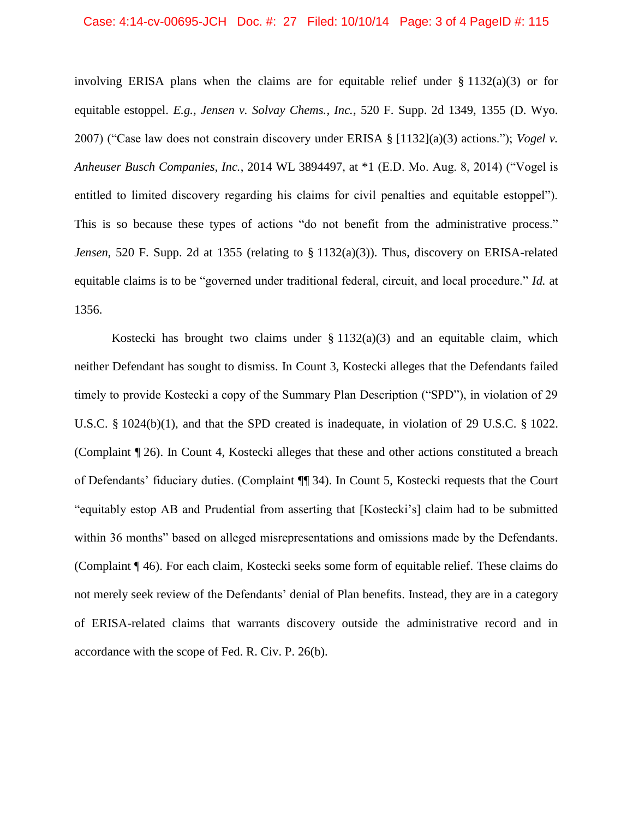involving ERISA plans when the claims are for equitable relief under  $\S 1132(a)(3)$  or for equitable estoppel. *E.g., Jensen v. Solvay Chems., Inc.*, 520 F. Supp. 2d 1349, 1355 (D. Wyo. 2007) ("Case law does not constrain discovery under ERISA § [1132](a)(3) actions."); *Vogel v. Anheuser Busch Companies, Inc.*, 2014 WL 3894497, at \*1 (E.D. Mo. Aug. 8, 2014) ("Vogel is entitled to limited discovery regarding his claims for civil penalties and equitable estoppel"). This is so because these types of actions "do not benefit from the administrative process." *Jensen*, 520 F. Supp. 2d at 1355 (relating to § 1132(a)(3)). Thus, discovery on ERISA-related equitable claims is to be "governed under traditional federal, circuit, and local procedure." *Id.* at 1356.

Kostecki has brought two claims under  $\S 1132(a)(3)$  and an equitable claim, which neither Defendant has sought to dismiss. In Count 3, Kostecki alleges that the Defendants failed timely to provide Kostecki a copy of the Summary Plan Description ("SPD"), in violation of 29 U.S.C. § 1024(b)(1), and that the SPD created is inadequate, in violation of 29 U.S.C. § 1022. (Complaint ¶ 26). In Count 4, Kostecki alleges that these and other actions constituted a breach of Defendants' fiduciary duties. (Complaint ¶¶ 34). In Count 5, Kostecki requests that the Court "equitably estop AB and Prudential from asserting that [Kostecki's] claim had to be submitted within 36 months" based on alleged misrepresentations and omissions made by the Defendants. (Complaint ¶ 46). For each claim, Kostecki seeks some form of equitable relief. These claims do not merely seek review of the Defendants' denial of Plan benefits. Instead, they are in a category of ERISA-related claims that warrants discovery outside the administrative record and in accordance with the scope of Fed. R. Civ. P. 26(b).